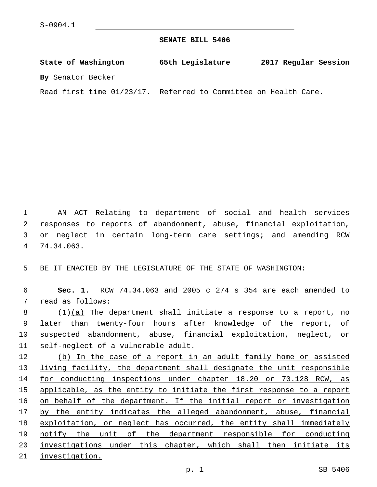**SENATE BILL 5406**

**State of Washington 65th Legislature 2017 Regular Session By** Senator Becker

Read first time 01/23/17. Referred to Committee on Health Care.

 AN ACT Relating to department of social and health services responses to reports of abandonment, abuse, financial exploitation, or neglect in certain long-term care settings; and amending RCW 74.34.063.4

5 BE IT ENACTED BY THE LEGISLATURE OF THE STATE OF WASHINGTON:

6 **Sec. 1.** RCW 74.34.063 and 2005 c 274 s 354 are each amended to 7 read as follows:

 $(1)(a)$  The department shall initiate a response to a report, no later than twenty-four hours after knowledge of the report, of suspected abandonment, abuse, financial exploitation, neglect, or 11 self-neglect of a vulnerable adult.

12 (b) In the case of a report in an adult family home or assisted 13 living facility, the department shall designate the unit responsible 14 for conducting inspections under chapter 18.20 or 70.128 RCW, as 15 applicable, as the entity to initiate the first response to a report 16 on behalf of the department. If the initial report or investigation 17 by the entity indicates the alleged abandonment, abuse, financial 18 exploitation, or neglect has occurred, the entity shall immediately 19 notify the unit of the department responsible for conducting 20 investigations under this chapter, which shall then initiate its 21 investigation.